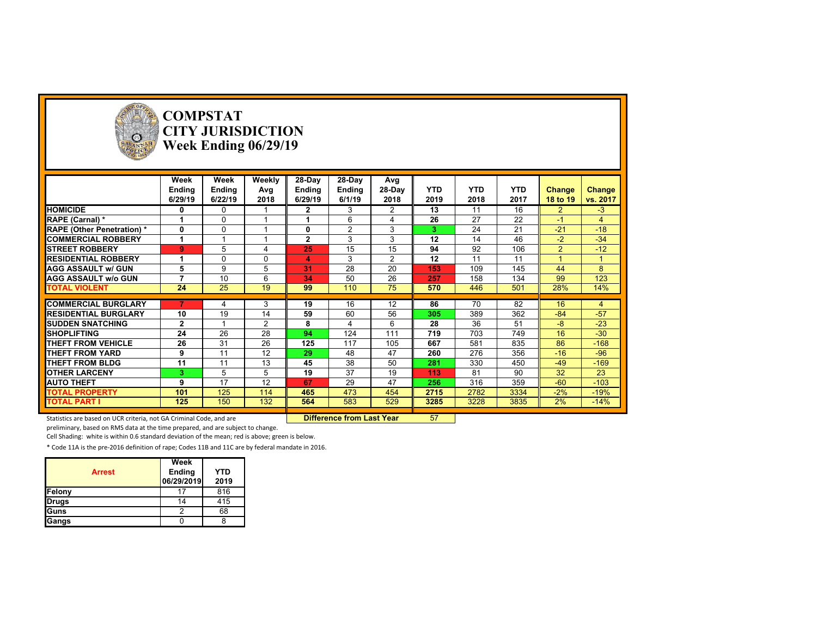

# **COMPSTAT CITY JURISDICTION Week Ending 06/29/19**

|                                   | Week<br>Ending | Week<br>Ending | Weekly<br>Avg  | 28-Day<br>Ending | 28-Day<br>Ending | Avg<br>28-Day  | <b>YTD</b> | <b>YTD</b> | <b>YTD</b> | Change         | Change   |
|-----------------------------------|----------------|----------------|----------------|------------------|------------------|----------------|------------|------------|------------|----------------|----------|
|                                   | 6/29/19        | 6/22/19        | 2018           | 6/29/19          | 6/1/19           | 2018           | 2019       | 2018       | 2017       | 18 to 19       | vs. 2017 |
| <b>HOMICIDE</b>                   | 0              | $\Omega$       |                | $\mathbf{2}$     | 3                | $\overline{2}$ | 13         | 11         | 16         | $\overline{2}$ | $-3$     |
| RAPE (Carnal) *                   |                | $\Omega$       |                |                  | 6                | 4              | 26         | 27         | 22         | -1             | 4        |
| <b>RAPE (Other Penetration)</b> * | 0              | $\Omega$       |                | $\bf{0}$         | 2                | 3              | 3          | 24         | 21         | $-21$          | $-18$    |
| <b>COMMERCIAL ROBBERY</b>         |                |                |                | $\mathbf{2}$     | 3                | 3              | 12         | 14         | 46         | $-2$           | $-34$    |
| <b>ISTREET ROBBERY</b>            | 9              | 5              |                | 25               | 15               | 15             | 94         | 92         | 106        | $\overline{2}$ | $-12$    |
| <b>RESIDENTIAL ROBBERY</b>        |                | $\mathbf 0$    | $\Omega$       | 4                | 3                | $\overline{2}$ | 12         | 11         | 11         |                |          |
| <b>AGG ASSAULT w/ GUN</b>         | 5              | 9              | 5              | 31               | 28               | 20             | 153        | 109        | 145        | 44             | 8        |
| <b>AGG ASSAULT w/o GUN</b>        |                | 10             | 6              | 34               | 50               | 26             | 257        | 158        | 134        | 99             | 123      |
| <b>TOTAL VIOLENT</b>              | 24             | 25             | 19             | 99               | 110              | 75             | 570        | 446        | 501        | 28%            | 14%      |
|                                   |                |                |                |                  |                  |                |            |            |            |                |          |
| <b>COMMERCIAL BURGLARY</b>        |                | 4              | 3              | 19               | 16               | 12             | 86         | 70         | 82         | 16             | 4        |
| <b>RESIDENTIAL BURGLARY</b>       | 10             | 19             | 14             | 59               | 60               | 56             | 305        | 389        | 362        | $-84$          | $-57$    |
| <b>SUDDEN SNATCHING</b>           | $\mathbf{2}$   |                | $\overline{2}$ | 8                | $\overline{4}$   | 6              | 28         | 36         | 51         | $-8$           | $-23$    |
| <b>SHOPLIFTING</b>                | 24             | 26             | 28             | 94               | 124              | 111            | 719        | 703        | 749        | 16             | $-30$    |
| THEFT FROM VEHICLE                | 26             | 31             | 26             | 125              | 117              | 105            | 667        | 581        | 835        | 86             | $-168$   |
| <b>THEFT FROM YARD</b>            | 9              | 11             | 12             | 29               | 48               | 47             | 260        | 276        | 356        | $-16$          | $-96$    |
| THEFT FROM BLDG                   | 11             | 11             | 13             | 45               | 38               | 50             | 281        | 330        | 450        | $-49$          | $-169$   |
| <b>OTHER LARCENY</b>              | 3              | 5              | 5              | 19               | 37               | 19             | 113        | 81         | 90         | 32             | 23       |
| <b>AUTO THEFT</b>                 | 9              | 17             | 12             | 67               | 29               | 47             | 256        | 316        | 359        | $-60$          | $-103$   |
| <b>TOTAL PROPERTY</b>             | 101            | 125            | 114            | 465              | 473              | 454            | 2715       | 2782       | 3334       | $-2%$          | $-19%$   |
| <b>TOTAL PART I</b>               | 125            | 150            | 132            | 564              | 583              | 529            | 3285       | 3228       | 3835       | 2%             | $-14%$   |

Statistics are based on UCR criteria, not GA Criminal Code, and are **Difference from Last Year** 57

preliminary, based on RMS data at the time prepared, and are subject to change.

Cell Shading: white is within 0.6 standard deviation of the mean; red is above; green is below.

|               | Week                 |                    |
|---------------|----------------------|--------------------|
| <b>Arrest</b> | Ending<br>06/29/2019 | <b>YTD</b><br>2019 |
| Felony        |                      | 816                |
| <b>Drugs</b>  | 14                   | 415                |
| Guns          |                      | 68                 |
| Gangs         |                      |                    |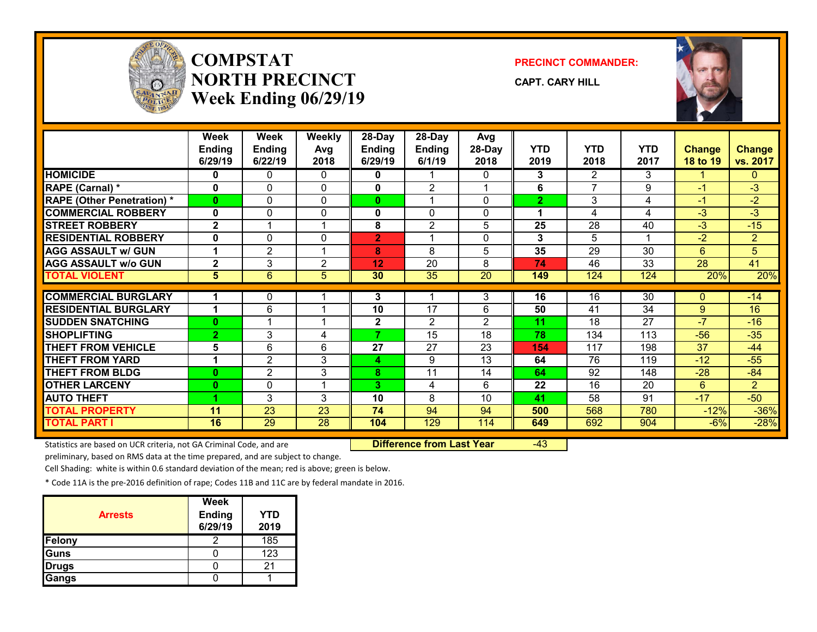

## **COMPSTATNORTH PRECINCTWeek Ending 06/29/19**

**PRECINCT COMMANDER:**

**CAPT. CARY HILL**



|                                  | <b>Week</b>          | <b>Week</b>     | <b>Weekly</b>   | 28-Day         | 28-Day                  | Avg             |                |                |                 |                 |                |
|----------------------------------|----------------------|-----------------|-----------------|----------------|-------------------------|-----------------|----------------|----------------|-----------------|-----------------|----------------|
|                                  | <b>Ending</b>        | <b>Ending</b>   | Avg             | <b>Ending</b>  | <b>Ending</b>           | 28-Day          | YTD            | <b>YTD</b>     | <b>YTD</b>      | <b>Change</b>   | <b>Change</b>  |
|                                  | 6/29/19              | 6/22/19         | 2018            | 6/29/19        | 6/1/19                  | 2018            | 2019           | 2018           | 2017            | <b>18 to 19</b> | vs. 2017       |
| <b>HOMICIDE</b>                  | 0                    | 0               | 0               | 0              |                         | 0               | 3              | $\overline{2}$ | 3               |                 | 0              |
| RAPE (Carnal) *                  | $\bf{0}$             | $\Omega$        | $\Omega$        | 0              | $\overline{2}$          |                 | 6              | 7              | 9               | $-1$            | $-3$           |
| <b>RAPE (Other Penetration)*</b> | $\bf{0}$             | $\Omega$        | $\Omega$        | $\mathbf{0}$   |                         | 0               | $\overline{2}$ | 3              | 4               | $-1$            | $-2$           |
| <b>COMMERCIAL ROBBERY</b>        | 0                    | 0               | 0               | 0              | 0                       | 0               |                | 4              | 4               | $-3$            | $-3$           |
| <b>STREET ROBBERY</b>            | $\mathbf{2}$         |                 |                 | 8              | $\overline{c}$          | 5               | 25             | 28             | 40              | $-3$            | $-15$          |
| <b>RESIDENTIAL ROBBERY</b>       | $\mathbf 0$          | 0               | $\Omega$        | $\overline{2}$ | $\overline{\mathbf{A}}$ | 0               | 3              | 5              | 4               | $-2$            | $\overline{2}$ |
| <b>AGG ASSAULT w/ GUN</b>        | $\blacktriangleleft$ | $\overline{2}$  |                 | 8              | 8                       | 5               | 35             | 29             | 30              | 6               | 5              |
| <b>AGG ASSAULT w/o GUN</b>       | $\mathbf{2}$         | 3               | $\overline{2}$  | 12             | $\overline{20}$         | 8               | 74             | 46             | $\overline{33}$ | $\overline{28}$ | 41             |
| <b>TOTAL VIOLENT</b>             | 5                    | 6               | 5               | 30             | $\overline{35}$         | $\overline{20}$ | 149            | 124            | 124             | 20%             | 20%            |
|                                  |                      |                 |                 |                |                         |                 |                |                |                 |                 |                |
| <b>COMMERCIAL BURGLARY</b>       |                      | 0               |                 | 3              |                         | 3               | 16             | 16             | $\overline{30}$ | $\Omega$        | $-14$          |
| <b>RESIDENTIAL BURGLARY</b>      |                      | 6               |                 | 10             | $\overline{17}$         | 6               | 50             | 41             | $\overline{34}$ | $9^{\circ}$     | 16             |
| <b>SUDDEN SNATCHING</b>          | $\bf{0}$             |                 |                 | $\mathbf{2}$   | $\overline{2}$          | 2               | 11             | 18             | 27              | $-7$            | $-16$          |
| <b>SHOPLIFTING</b>               | $\overline{2}$       | 3               | 4               | 7              | 15                      | 18              | 78             | 134            | 113             | $-56$           | $-35$          |
| <b>THEFT FROM VEHICLE</b>        | 5                    | 6               | 6               | 27             | 27                      | 23              | 154            | 117            | 198             | 37              | $-44$          |
| <b>THEFT FROM YARD</b>           | 1                    | $\overline{2}$  | 3               | 4              | 9                       | 13              | 64             | 76             | 119             | $-12$           | $-55$          |
| <b>THEFT FROM BLDG</b>           | $\bf{0}$             | $\overline{2}$  | 3               | 8              | 11                      | 14              | 64             | 92             | 148             | $-28$           | $-84$          |
| <b>OTHER LARCENY</b>             | $\bf{0}$             | $\Omega$        |                 | 3.             | 4                       | 6               | 22             | 16             | 20              | 6               | $\overline{2}$ |
| <b>AUTO THEFT</b>                |                      | 3               | 3               | 10             | 8                       | 10 <sup>1</sup> | 41             | 58             | 91              | $-17$           | $-50$          |
| <b>TOTAL PROPERTY</b>            | 11                   | 23              | 23              | 74             | 94                      | 94              | 500            | 568            | 780             | $-12%$          | $-36%$         |
| <b>TOTAL PART I</b>              | 16                   | $\overline{29}$ | $\overline{28}$ | 104            | 129                     | 114             | 649            | 692            | 904             | $-6%$           | $-28%$         |

Statistics are based on UCR criteria, not GA Criminal Code, and are **Difference from Last Year** -43

preliminary, based on RMS data at the time prepared, and are subject to change.

Cell Shading: white is within 0.6 standard deviation of the mean; red is above; green is below.

| <b>Arrests</b> | Week<br>Ending<br>6/29/19 | YTD<br>2019 |
|----------------|---------------------------|-------------|
| Felony         |                           | 185         |
| Guns           |                           | 123         |
| <b>Drugs</b>   |                           | 21          |
| Gangs          |                           |             |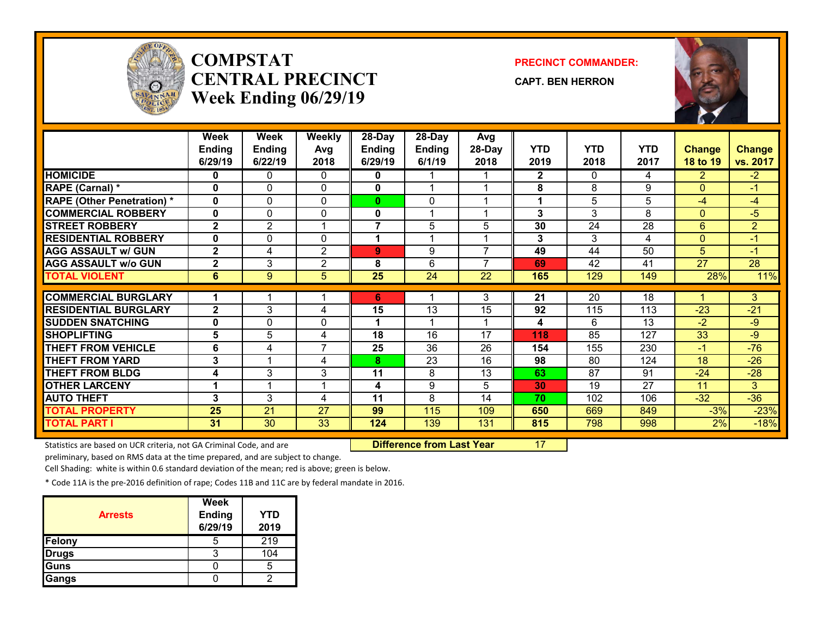

## **COMPSTATCENTRAL PRECINCTWeek Ending 06/29/19**

#### **PRECINCT COMMANDER:**

**CAPT. BEN HERRON**



|                                   | Week            | <b>Week</b>     | <b>Weekly</b>   | 28-Day        | 28-Day          | Avg                      |              |              |                 |                 |                 |
|-----------------------------------|-----------------|-----------------|-----------------|---------------|-----------------|--------------------------|--------------|--------------|-----------------|-----------------|-----------------|
|                                   | <b>Ending</b>   | <b>Ending</b>   | Avg             | <b>Ending</b> | <b>Ending</b>   | 28-Day                   | <b>YTD</b>   | <b>YTD</b>   | <b>YTD</b>      | <b>Change</b>   | <b>Change</b>   |
|                                   | 6/29/19         | 6/22/19         | 2018            | 6/29/19       | 6/1/19          | 2018                     | 2019         | 2018         | 2017            | 18 to 19        | vs. 2017        |
| <b>HOMICIDE</b>                   | 0               | 0               | 0               | 0             |                 |                          | $\mathbf{2}$ | $\mathbf{0}$ | 4               | 2.              | $-2$            |
| RAPE (Carnal) *                   | 0               | 0               | $\Omega$        | 0             |                 |                          | 8            | 8            | 9               | $\Omega$        | $-1$            |
| <b>RAPE (Other Penetration) *</b> | 0               | 0               | $\mathbf{0}$    | 0             | 0               |                          |              | 5            | 5               | $-4$            | $-4$            |
| <b>COMMERCIAL ROBBERY</b>         | $\mathbf{0}$    | 0               | $\mathbf{0}$    | 0             |                 |                          | 3            | 3            | 8               | $\Omega$        | $-5$            |
| <b>STREET ROBBERY</b>             | $\mathbf{2}$    | $\overline{2}$  | 1               | 7             | 5               | 5                        | 30           | 24           | 28              | 6               | $\overline{2}$  |
| <b>RESIDENTIAL ROBBERY</b>        | 0               | 0               | 0               | 1             |                 |                          | 3            | 3            | 4               | $\mathbf{0}$    | $-1$            |
| <b>AGG ASSAULT w/ GUN</b>         | $\overline{2}$  | 4               | $\overline{2}$  | 9             | 9               | $\overline{\phantom{a}}$ | 49           | 44           | 50              | 5 <sup>5</sup>  | $-1$            |
| <b>AGG ASSAULT w/o GUN</b>        | $\mathbf{2}$    | 3               | $\overline{2}$  | 8             | 6               | $\overline{ }$           | 69           | 42           | 41              | $\overline{27}$ | $\overline{28}$ |
| <b>TOTAL VIOLENT</b>              | 6               | 9               | 5               | 25            | $\overline{24}$ | 22                       | 165          | 129          | 149             | 28%             | 11%             |
|                                   |                 |                 |                 |               |                 |                          |              |              |                 |                 |                 |
| <b>COMMERCIAL BURGLARY</b>        |                 |                 |                 | 6             |                 | 3                        | 21           | 20           | 18              |                 | 3               |
| <b>RESIDENTIAL BURGLARY</b>       | $\mathbf{2}$    | 3               | 4               | 15            | 13              | 15                       | 92           | 115          | 113             | $-23$           | $-21$           |
| <b>SUDDEN SNATCHING</b>           | 0               | 0               | 0               |               |                 |                          | 4            | 6            | 13              | $-2$            | -9              |
| <b>SHOPLIFTING</b>                | $5\phantom{1}$  | 5               | 4               | 18            | 16              | 17                       | 118          | 85           | 127             | 33              | $-9$            |
| <b>THEFT FROM VEHICLE</b>         | 6               | 4               | $\overline{7}$  | 25            | 36              | 26                       | 154          | 155          | 230             | $-1$            | $-76$           |
| <b>THEFT FROM YARD</b>            | 3               |                 | 4               | 8             | 23              | 16                       | 98           | 80           | 124             | 18              | $-26$           |
| <b>THEFT FROM BLDG</b>            | 4               | 3               | 3               | 11            | 8               | 13                       | 63           | 87           | 91              | $-24$           | $-28$           |
| <b>OTHER LARCENY</b>              |                 |                 | 1               | 4             | 9               | 5                        | 30           | 19           | $\overline{27}$ | 11              | 3               |
| <b>AUTO THEFT</b>                 | 3               | 3               | 4               | 11            | 8               | 14                       | 70           | 102          | 106             | $-32$           | $-36$           |
| <b>TOTAL PROPERTY</b>             | $\overline{25}$ | $\overline{21}$ | $\overline{27}$ | 99            | 115             | 109                      | 650          | 669          | 849             | $-3%$           | $-23%$          |
| <b>TOTAL PART I</b>               | 31              | 30              | 33              | 124           | 139             | 131                      | 815          | 798          | 998             | 2%              | $-18%$          |

Statistics are based on UCR criteria, not GA Criminal Code, and are **Difference from Last Year** 17

preliminary, based on RMS data at the time prepared, and are subject to change.

Cell Shading: white is within 0.6 standard deviation of the mean; red is above; green is below.

| <b>Arrests</b> | <b>Week</b><br><b>Ending</b><br>6/29/19 | YTD<br>2019 |
|----------------|-----------------------------------------|-------------|
| Felony         | b                                       | 219         |
| <b>Drugs</b>   |                                         | 104         |
| Guns           |                                         |             |
| Gangs          |                                         |             |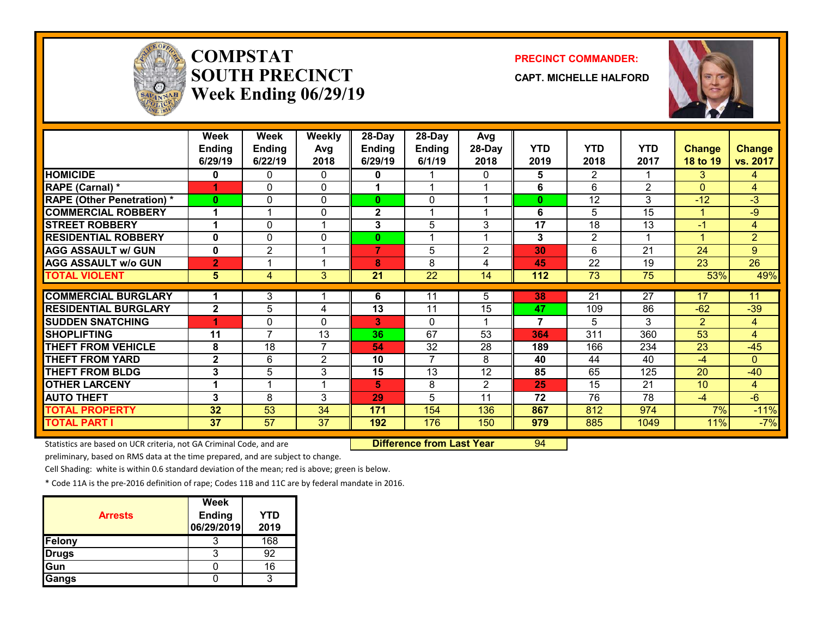

# **COMPSTATSOUTH PRECINCTWeek Ending 06/29/19**

#### **PRECINCT COMMANDER:**

**CAPT. MICHELLE HALFORD**



|                                   | <b>Week</b><br><b>Ending</b> | Week<br>Ending | Weekly         | 28-Day<br><b>Ending</b> | 28-Day<br><b>Ending</b> | Avg<br>28-Day  | <b>YTD</b>     | <b>YTD</b>      | <b>YTD</b>     |                           |                           |
|-----------------------------------|------------------------------|----------------|----------------|-------------------------|-------------------------|----------------|----------------|-----------------|----------------|---------------------------|---------------------------|
|                                   | 6/29/19                      | 6/22/19        | Avg<br>2018    | 6/29/19                 | 6/1/19                  | 2018           | 2019           | 2018            | 2017           | <b>Change</b><br>18 to 19 | <b>Change</b><br>vs. 2017 |
| <b>HOMICIDE</b>                   | 0                            | 0              | 0              | 0                       |                         | 0              | 5.             | $\overline{2}$  |                | 3                         | 4                         |
| RAPE (Carnal) *                   | и                            | 0              | $\Omega$       |                         |                         |                | 6              | 6               | $\overline{2}$ | $\Omega$                  | 4                         |
| <b>RAPE (Other Penetration) *</b> | $\bf{0}$                     | 0              | 0              | $\mathbf{0}$            | 0                       |                | $\bf{0}$       | 12              | 3              | $-12$                     | $-3$                      |
| <b>COMMERCIAL ROBBERY</b>         | 1                            | 1              | $\mathbf{0}$   | $\mathbf{2}$            |                         |                | 6              | 5               | 15             | 1                         | -9                        |
| <b>STREET ROBBERY</b>             | 1                            | 0              | 1              | 3                       | 5                       | 3              | 17             | 18              | 13             | -1                        | 4                         |
| <b>RESIDENTIAL ROBBERY</b>        | $\bf{0}$                     | 0              | 0              | 0                       |                         |                | 3              | $\overline{2}$  |                | 4                         | $\overline{2}$            |
| <b>AGG ASSAULT w/ GUN</b>         | 0                            | $\overline{2}$ | 1              | $\overline{7}$          | 5                       | $\overline{2}$ | 30             | 6               | 21             | 24                        | 9                         |
| <b>AGG ASSAULT W/o GUN</b>        | $\overline{2}$               |                | 1              | 8                       | 8                       | 4              | 45             | $\overline{22}$ | 19             | 23                        | $\overline{26}$           |
| <b>TOTAL VIOLENT</b>              | 5                            | 4              | 3              | 21                      | $\overline{22}$         | 14             | 112            | $\overline{73}$ | 75             | 53%                       | 49%                       |
|                                   |                              |                |                |                         |                         |                |                |                 |                |                           |                           |
| <b>COMMERCIAL BURGLARY</b>        |                              | 3              |                | 6                       | 11                      | 5.             | 38             | 21              | 27             | 17                        | 11                        |
| <b>RESIDENTIAL BURGLARY</b>       | $\mathbf{2}$                 | 5              | 4              | 13                      | 11                      | 15             | 47             | 109             | 86             | $-62$                     | $-39$                     |
| <b>SUDDEN SNATCHING</b>           |                              | 0              | $\Omega$       | 3                       | $\Omega$                |                | $\overline{7}$ | 5               | 3              | $\overline{2}$            | $\overline{4}$            |
| <b>SHOPLIFTING</b>                | 11                           | $\overline{7}$ | 13             | 36                      | 67                      | 53             | 364            | 311             | 360            | 53                        | $\overline{4}$            |
| <b>THEFT FROM VEHICLE</b>         | 8                            | 18             | $\overline{7}$ | 54                      | 32                      | 28             | 189            | 166             | 234            | 23                        | $-45$                     |
| <b>THEFT FROM YARD</b>            | $\mathbf{2}$                 | 6              | 2              | 10                      | $\overline{7}$          | 8              | 40             | 44              | 40             | $-4$                      | $\Omega$                  |
| <b>THEFT FROM BLDG</b>            | 3                            | 5              | 3              | 15                      | $\overline{13}$         | 12             | 85             | 65              | 125            | 20                        | $-40$                     |
| <b>OTHER LARCENY</b>              | 1                            |                | 1              | 5                       | 8                       | $\overline{2}$ | 25             | 15              | 21             | 10                        | 4                         |
| <b>AUTO THEFT</b>                 | 3                            | 8              | 3              | 29                      | 5                       | 11             | 72             | 76              | 78             | $-4$                      | $-6$                      |
| <b>TOTAL PROPERTY</b>             | 32                           | 53             | 34             | 171                     | 154                     | 136            | 867            | 812             | 974            | 7%                        | $-11%$                    |
| <b>TOTAL PART I</b>               | 37                           | 57             | 37             | 192                     | 176                     | 150            | 979            | 885             | 1049           | 11%                       | $-7%$                     |

Statistics are based on UCR criteria, not GA Criminal Code, and are **Difference from Last Year** 94

preliminary, based on RMS data at the time prepared, and are subject to change.

Cell Shading: white is within 0.6 standard deviation of the mean; red is above; green is below.

| <b>Arrests</b> | Week<br>Ending<br>06/29/2019 | YTD<br>2019 |
|----------------|------------------------------|-------------|
| Felony         |                              | 168         |
| Drugs          |                              | 92          |
| lGun           |                              | 16          |
| Gangs          |                              |             |